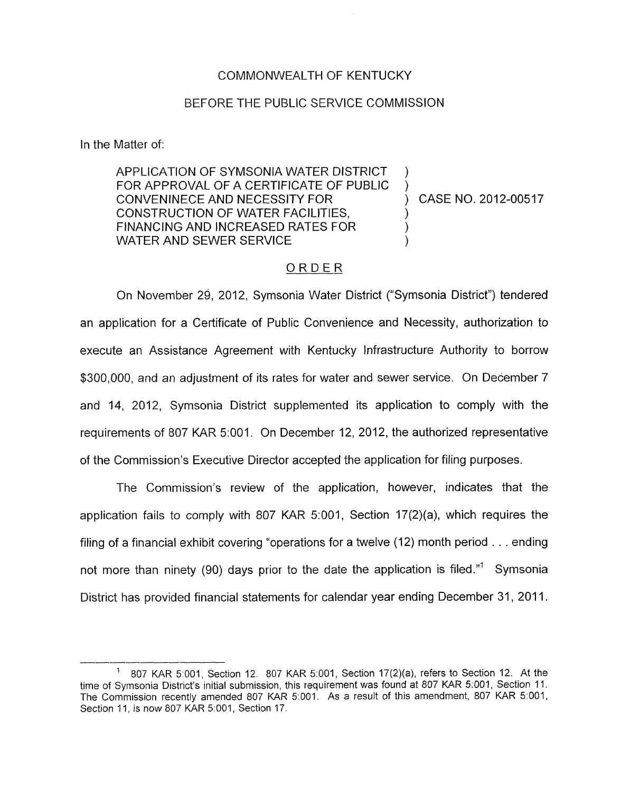## COMMONWEALTH OF KENTUCKY

## BEFORE THE PUBLIC, SERVICE COMMISSION

In the Matter of:

APPLICATION OF SYMSONIA WATER DISTRICT FOR APPROVAL OF A CERTIFICATE OF PUBLIC ) CONVENINECE AND NECESSITY FOR ) CASE NO. 2012-00517 CONSTRUCTION OF WATER FACILITIES, FINANCING AND INCREASED RATES FOR WATER AND SEWER SERVICE

)

## ORDER

On November 29, 2012, Symsonia Water District ("Symsonia District") tendered an application for a Certificate of Public Convenience and Necessity, authorization to execute an Assistance Agreement with Kentucky Infrastructure Authority to borrow \$300,000, and an adjustment of its rates for water and sewer service. On December 7 and 14, 2012, Symsonia District supplemented its application to comply with the requirements of 807 KAR 5:001. On December 12, 2012, the authorized representative of the Commission's Executive Director accepted the application for filing purposes.

The Commission's review of the application, however, indicates that the application fails to comply with 807 KAR 5:001, Section 17(2)(a), which requires the filing of a financial exhibit covering "operations for a twelve (12) month period . . . ending not more than ninety (90) days prior to the date the application is filed."' Symsonia District has provided financial statements for calendar year ending December 31, 2011.

<sup>807</sup> KAR 5"001, Section 12. 807 KAR 5 001, Section 17(2)(a), refers to Section 12. At the time of Symsonia District's initial submission, this requirement was found at 807 KAR 5:001, Section 11. The Commission recently amended 807 KAR 5:001. As a result of this amendment, 807 KAR 5:001, Section 11, *is now 807 KAR 5:001*, Section 17. **1**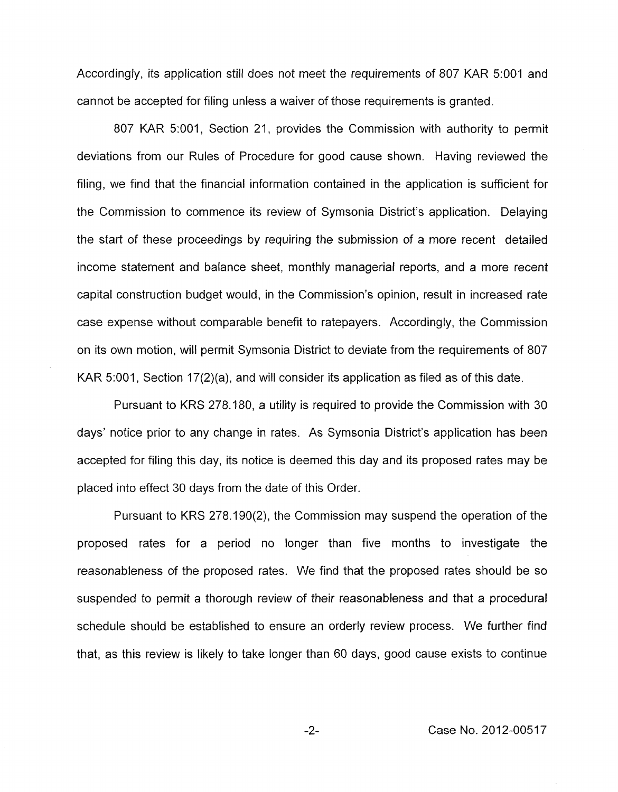Accordingly, its application still does not meet the requirements of 807 KAR 5:OOl and cannot be accepted for filing unless a waiver of those requirements is granted.

807 KAR 5:001, Section 21, provides the Commission with authority to permit deviations from our Rules of Procedure for good cause shown. Having reviewed the filing, we find that the financial information contained in the application is sufficient for the Commission to commence its review of Symsonia District's application. Delaying the start of these proceedings by requiring the submission of a more recent detailed income statement and balance sheet, monthly managerial reports, and a more recent capital construction budget would, in the Commission's opinion, result in increased rate case expense without comparable benefit to ratepayers. Accordingly, the Commission on its own motion, will permit Symsonia District to deviate from the requirements of 807 KAR 5:001, Section 17(2)(a), and will consider its application as filed as of this date.

Pursuant to KRS 278.180, a utility is required to provide the Commission with 30 days' notice prior to any change in rates. As Symsonia District's application has been accepted for filing this day, its notice is deemed this day and its proposed rates may be placed into effect 30 days from the date of this Order.

Pursuant to KRS 278.190(2), the Commission may suspend the operation of the proposed rates for a period no longer than five months to investigate the reasonableness of the proposed rates. We find that the proposed rates should be so suspended to permit a thorough review of their reasonableness and that a procedural schedule should be established to ensure an orderly review process. We further find that, as this review is likely to take longer than 60 days, good cause exists to continue

*-2-* Case No. 2012-00517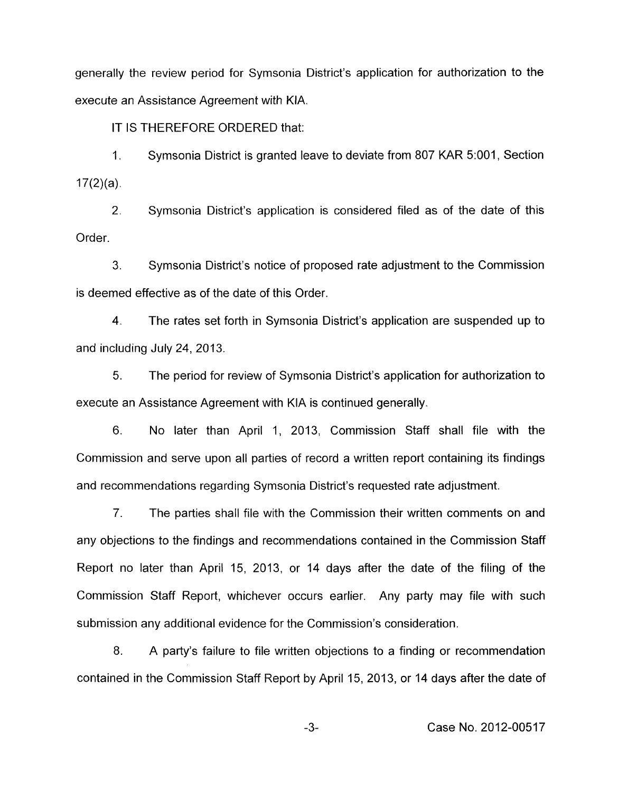generally the review period for Symsonia District's application for authorization to the execute an Assistance Agreement with KIA.

IT IS THEREFORE ORDERED that:

1. Symsonia District is granted leave to deviate from 807 KAR 5:OOI **I** Section  $17(2)(a)$ .

2. Symsonia District's application is considered filed as of the date of this Order.

3. Symsonia District's notice of proposed rate adjustment to the Commission is deemed effective as of the date of this Order.

4. The rates set forth in Symsonia District's application are suspended up to and including July 24, 2013.

5. The period for review of Symsonia District's application for authorization to execute an Assistance Agreement with KIA is continued generally.

6. No later than April 1, 2013, Commission Staff shall file with the Commission and serve upon all parties of record a written report containing its findings and recommendations regarding Symsonia District's requested rate adjustment.

*7.* The parties shall file with the Commission their written comments on and any objections to the findings and recommendations contained in the Commission Staff Report no later than April 15, 2013, or 14 days after the date of the filing of the Commission Staff Report, whichever occurs earlier. Any party may file with such submission any additional evidence for the Commission's consideration.

8. A party's failure to file written objections to a finding or recommendation contained in the Commission Staff Report by April 15, 2013, or 14 days after the date of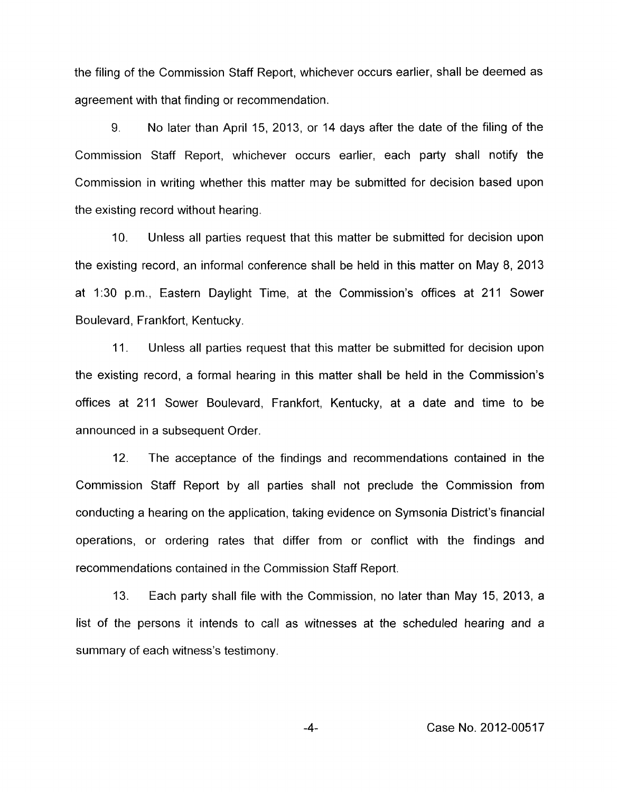the filing of the Commission Staff Report, whichever occurs earlier, shall be deemed as agreement with that finding or recommendation.

9. No later than April 15, 2013, or 14 days after the date of the filing of the Commission Staff Report, whichever occurs earlier, each party shall notify the Commission in writing whether this matter may be submitted for decision based upon the existing record without hearing.

IO. Unless all parties request that this matter be submitted for decision upon the existing record, an informal conference shall be held in this matter on May 8, 2013 at 1:30 p.m., Eastern Daylight Time, at the Commission's offices at 211 Sower Boulevard, Frankfort, Kentucky.

11. Unless all parties request that this matter be submitted for decision upon the existing record, a formal hearing in this matter shall be held in the Commission's offices at 211 Sower Boulevard, Frankfort, Kentucky, at a date and time to be announced in a subsequent Order.

12. The acceptance of the findings and recommendations contained in the Cornmission Staff Report by all parties shall not preclude the Commission from conducting a hearing on the application, taking evidence on Symsonia District's financial operations, or ordering rates that differ from or conflict with the findings and recommendations contained in the Commission Staff Report.

13. Each party shall file with the Commission, no later than May 15, 2013, a list of the persons it intends to call as witnesses at the scheduled hearing and a summary of each witness's testimony.

-4- Case No. 2012-00517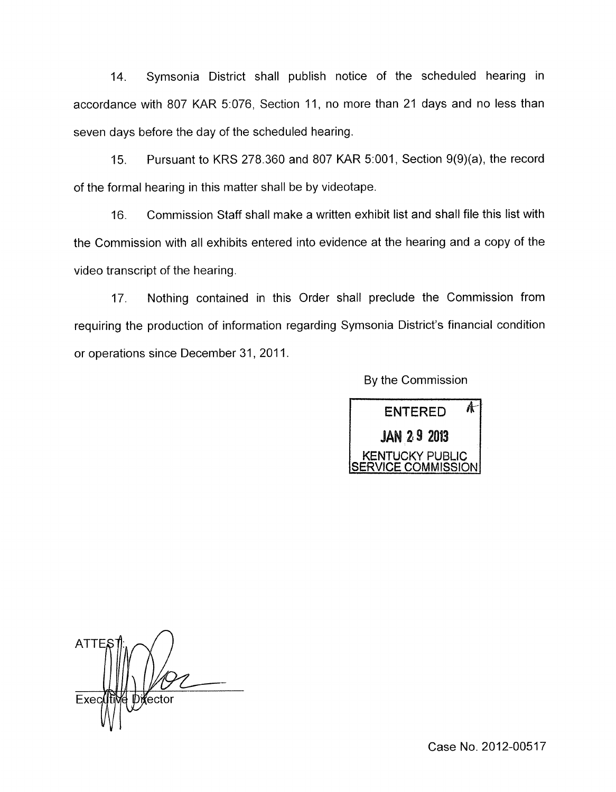14. Symsonia District shall publish notice of the scheduled hearing in accordance with 807 KAR 5:076, Section 11, no more than 21 days and no less than seven days before the day of the scheduled hearing.

15. Pursuant to KRS 278.360 and 807 KAR 5:001, Section 9(9)(a), the record of the formal hearing in this matter shall be by videotape.

16. Commission Staff shall make a written exhibit list and shall file this list with the Commission with all exhibits entered into evidence at the hearing and a copy of the video transcript of the hearing.

17. Nothing contained in this Order shall preclude the Commission from requiring the production of information regarding Symsonia District's financial condition or operations since December 31, 2011.

By the Commission



**ATTE** Director Exec

Case No. 2012-00517